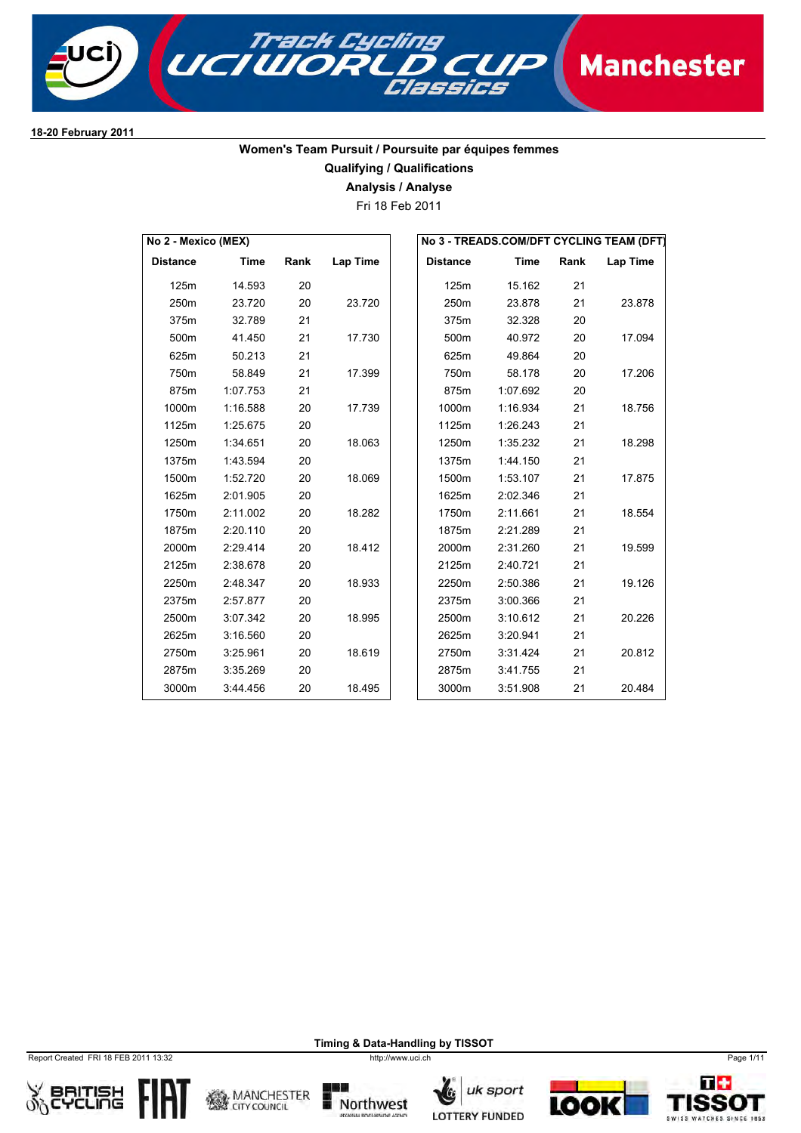

## **Women's Team Pursuit / Poursuite par équipes femmes**

**Qualifying / Qualifications**

**Analysis / Analyse**

Fri 18 Feb 2011

| No 2 - Mexico (MEX) |             |      |                 |                 |             |      | No 3 - TREADS.COM/DFT CYCLING TEAM (DFT) |
|---------------------|-------------|------|-----------------|-----------------|-------------|------|------------------------------------------|
| <b>Distance</b>     | <b>Time</b> | Rank | <b>Lap Time</b> | <b>Distance</b> | <b>Time</b> | Rank | Lap Time                                 |
| 125m                | 14.593      | 20   |                 | 125m            | 15.162      | 21   |                                          |
| 250m                | 23.720      | 20   | 23.720          | 250m            | 23.878      | 21   | 23.878                                   |
| 375m                | 32.789      | 21   |                 | 375m            | 32.328      | 20   |                                          |
| 500m                | 41.450      | 21   | 17.730          | 500m            | 40.972      | 20   | 17.094                                   |
| 625m                | 50.213      | 21   |                 | 625m            | 49.864      | 20   |                                          |
| 750m                | 58.849      | 21   | 17.399          | 750m            | 58.178      | 20   | 17.206                                   |
| 875m                | 1:07.753    | 21   |                 | 875m            | 1:07.692    | 20   |                                          |
| 1000m               | 1:16.588    | 20   | 17.739          | 1000m           | 1:16.934    | 21   | 18.756                                   |
| 1125m               | 1:25.675    | 20   |                 | 1125m           | 1:26.243    | 21   |                                          |
| 1250m               | 1:34.651    | 20   | 18.063          | 1250m           | 1:35.232    | 21   | 18.298                                   |
| 1375m               | 1:43.594    | 20   |                 | 1375m           | 1:44.150    | 21   |                                          |
| 1500m               | 1:52.720    | 20   | 18.069          | 1500m           | 1:53.107    | 21   | 17.875                                   |
| 1625m               | 2:01.905    | 20   |                 | 1625m           | 2:02.346    | 21   |                                          |
| 1750m               | 2:11.002    | 20   | 18.282          | 1750m           | 2:11.661    | 21   | 18.554                                   |
| 1875m               | 2:20.110    | 20   |                 | 1875m           | 2:21.289    | 21   |                                          |
| 2000m               | 2:29.414    | 20   | 18.412          | 2000m           | 2:31.260    | 21   | 19.599                                   |
| 2125m               | 2:38.678    | 20   |                 | 2125m           | 2:40.721    | 21   |                                          |
| 2250m               | 2:48.347    | 20   | 18.933          | 2250m           | 2:50.386    | 21   | 19.126                                   |
| 2375m               | 2:57.877    | 20   |                 | 2375m           | 3:00.366    | 21   |                                          |
| 2500m               | 3:07.342    | 20   | 18.995          | 2500m           | 3:10.612    | 21   | 20.226                                   |
| 2625m               | 3:16.560    | 20   |                 | 2625m           | 3:20.941    | 21   |                                          |
| 2750m               | 3:25.961    | 20   | 18.619          | 2750m           | 3:31.424    | 21   | 20.812                                   |
| 2875m               | 3:35.269    | 20   |                 | 2875m           | 3:41.755    | 21   |                                          |
| 3000m               | 3:44.456    | 20   | 18.495          | 3000m           | 3:51.908    | 21   | 20.484                                   |

Report Created FRI 18 FEB 2011 13:32 http://www.uci.ch Page 1/11













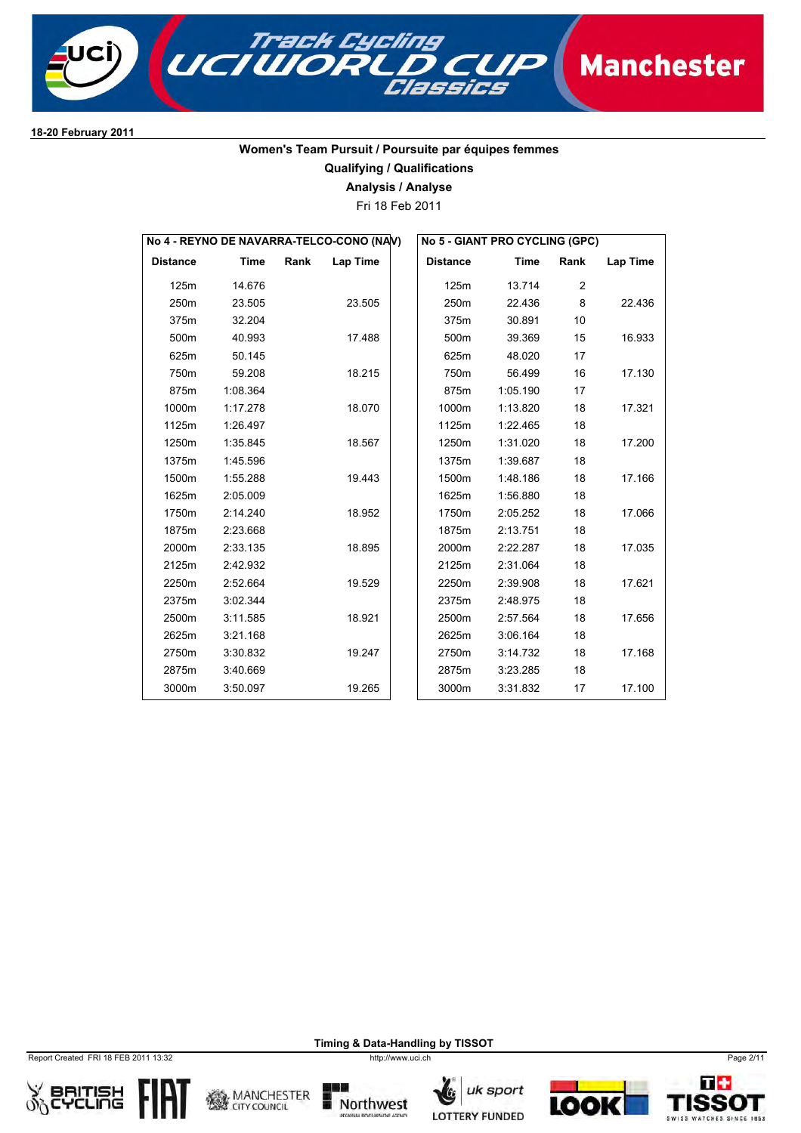

### **Women's Team Pursuit / Poursuite par équipes femmes**

### **Qualifying / Qualifications**

**Analysis / Analyse**

Fri 18 Feb 2011

| No 4 - REYNO DE NAVARRA-TELCO-CONO (NAV) |             |      |                 |  |                 | No 5 - GIANT PRO CYCLING (GPC) |      |          |
|------------------------------------------|-------------|------|-----------------|--|-----------------|--------------------------------|------|----------|
| <b>Distance</b>                          | <b>Time</b> | Rank | <b>Lap Time</b> |  | <b>Distance</b> | <b>Time</b>                    | Rank | Lap Time |
| 125m                                     | 14.676      |      |                 |  | 125m            | 13.714                         | 2    |          |
| 250m                                     | 23.505      |      | 23.505          |  | 250m            | 22.436                         | 8    | 22.436   |
| 375m                                     | 32.204      |      |                 |  | 375m            | 30.891                         | 10   |          |
| 500m                                     | 40.993      |      | 17.488          |  | 500m            | 39.369                         | 15   | 16.933   |
| 625m                                     | 50.145      |      |                 |  | 625m            | 48.020                         | 17   |          |
| 750m                                     | 59.208      |      | 18.215          |  | 750m            | 56.499                         | 16   | 17.130   |
| 875m                                     | 1:08.364    |      |                 |  | 875m            | 1:05.190                       | 17   |          |
| 1000m                                    | 1:17.278    |      | 18.070          |  | 1000m           | 1:13.820                       | 18   | 17.321   |
| 1125m                                    | 1:26.497    |      |                 |  | 1125m           | 1:22.465                       | 18   |          |
| 1250m                                    | 1:35.845    |      | 18.567          |  | 1250m           | 1:31.020                       | 18   | 17.200   |
| 1375m                                    | 1:45.596    |      |                 |  | 1375m           | 1:39.687                       | 18   |          |
| 1500m                                    | 1:55.288    |      | 19.443          |  | 1500m           | 1:48.186                       | 18   | 17.166   |
| 1625m                                    | 2:05.009    |      |                 |  | 1625m           | 1:56.880                       | 18   |          |
| 1750m                                    | 2:14.240    |      | 18.952          |  | 1750m           | 2:05.252                       | 18   | 17.066   |
| 1875m                                    | 2:23.668    |      |                 |  | 1875m           | 2:13.751                       | 18   |          |
| 2000m                                    | 2:33.135    |      | 18.895          |  | 2000m           | 2:22.287                       | 18   | 17.035   |
| 2125m                                    | 2:42.932    |      |                 |  | 2125m           | 2:31.064                       | 18   |          |
| 2250m                                    | 2:52.664    |      | 19.529          |  | 2250m           | 2:39.908                       | 18   | 17.621   |
| 2375m                                    | 3:02.344    |      |                 |  | 2375m           | 2:48.975                       | 18   |          |
| 2500m                                    | 3:11.585    |      | 18.921          |  | 2500m           | 2:57.564                       | 18   | 17.656   |
| 2625m                                    | 3:21.168    |      |                 |  | 2625m           | 3:06.164                       | 18   |          |
| 2750m                                    | 3:30.832    |      | 19.247          |  | 2750m           | 3:14.732                       | 18   | 17.168   |
| 2875m                                    | 3:40.669    |      |                 |  | 2875m           | 3:23.285                       | 18   |          |
| 3000m                                    | 3:50.097    |      | 19.265          |  | 3000m           | 3:31.832                       | 17   | 17.100   |

Report Created FRI 18 FEB 2011 13:32 http://www.uci.ch Page 2/11













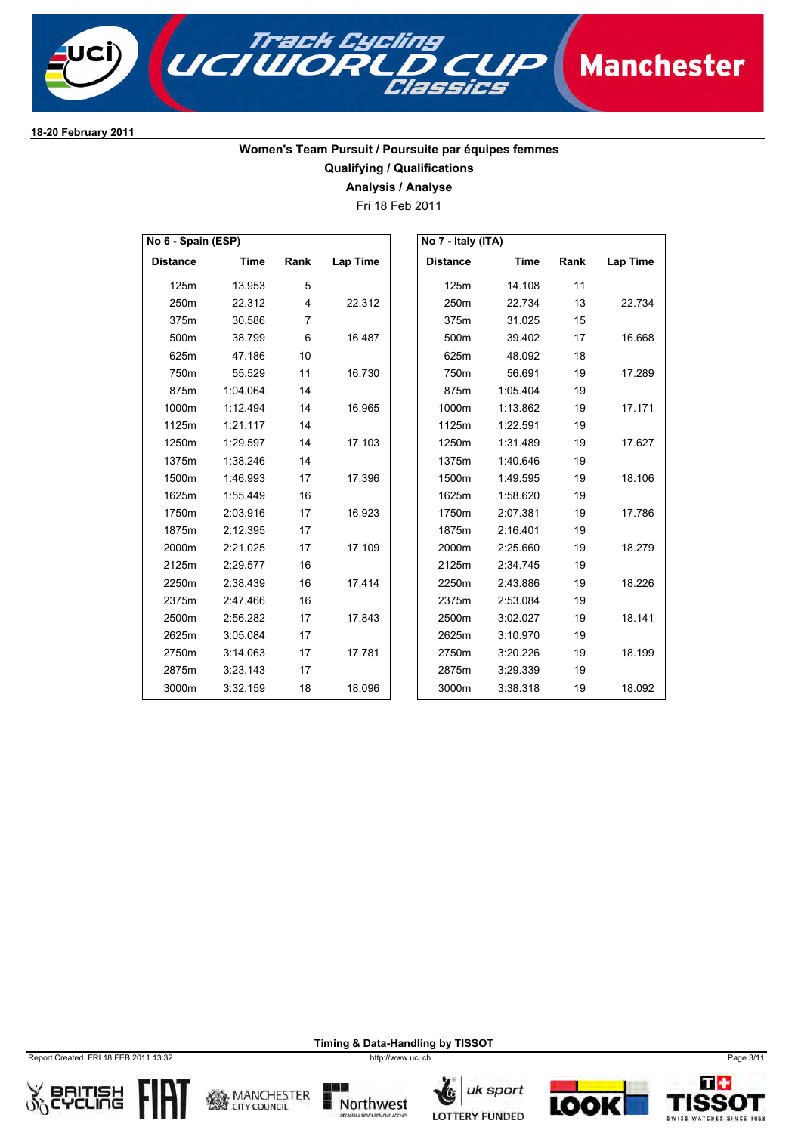

### **Women's Team Pursuit / Poursuite par équipes femmes Qualifying / Qualifications**

**Analysis / Analyse**

Fri 18 Feb 2011

| No 6 - Spain (ESP) |          |                |                 | No 7 - Italy (ITA) |          |      |          |
|--------------------|----------|----------------|-----------------|--------------------|----------|------|----------|
| <b>Distance</b>    | Time     | Rank           | <b>Lap Time</b> | <b>Distance</b>    | Time     | Rank | Lap Time |
| 125m               | 13.953   | 5              |                 | 125m               | 14.108   | 11   |          |
| 250m               | 22.312   | $\overline{4}$ | 22.312          | 250m               | 22.734   | 13   | 22.734   |
| 375m               | 30.586   | $\overline{7}$ |                 | 375m               | 31.025   | 15   |          |
| 500m               | 38.799   | 6              | 16.487          | 500m               | 39.402   | 17   | 16.668   |
| 625m               | 47.186   | 10             |                 | 625m               | 48.092   | 18   |          |
| 750m               | 55.529   | 11             | 16.730          | 750m               | 56.691   | 19   | 17.289   |
| 875m               | 1:04.064 | 14             |                 | 875m               | 1:05.404 | 19   |          |
| 1000m              | 1:12.494 | 14             | 16.965          | 1000m              | 1:13.862 | 19   | 17.171   |
| 1125m              | 1:21.117 | 14             |                 | 1125m              | 1:22.591 | 19   |          |
| 1250m              | 1:29.597 | 14             | 17.103          | 1250m              | 1:31.489 | 19   | 17.627   |
| 1375m              | 1:38.246 | 14             |                 | 1375m              | 1:40.646 | 19   |          |
| 1500m              | 1:46.993 | 17             | 17.396          | 1500m              | 1:49.595 | 19   | 18.106   |
| 1625m              | 1:55.449 | 16             |                 | 1625m              | 1:58.620 | 19   |          |
| 1750m              | 2:03.916 | 17             | 16.923          | 1750m              | 2:07.381 | 19   | 17.786   |
| 1875m              | 2:12.395 | 17             |                 | 1875m              | 2:16.401 | 19   |          |
| 2000m              | 2:21.025 | 17             | 17.109          | 2000m              | 2:25.660 | 19   | 18.279   |
| 2125m              | 2:29.577 | 16             |                 | 2125m              | 2:34.745 | 19   |          |
| 2250m              | 2:38.439 | 16             | 17.414          | 2250m              | 2:43.886 | 19   | 18.226   |
| 2375m              | 2:47.466 | 16             |                 | 2375m              | 2:53.084 | 19   |          |
| 2500m              | 2:56.282 | 17             | 17.843          | 2500m              | 3:02.027 | 19   | 18.141   |
| 2625m              | 3:05.084 | 17             |                 | 2625m              | 3:10.970 | 19   |          |
| 2750m              | 3:14.063 | 17             | 17.781          | 2750m              | 3:20.226 | 19   | 18.199   |
| 2875m              | 3:23.143 | 17             |                 | 2875m              | 3:29.339 | 19   |          |
| 3000m              | 3:32.159 | 18             | 18.096          | 3000m              | 3:38.318 | 19   | 18.092   |

Report Created FRI 18 FEB 2011 13:32 http://www.uci.ch Page 3/11













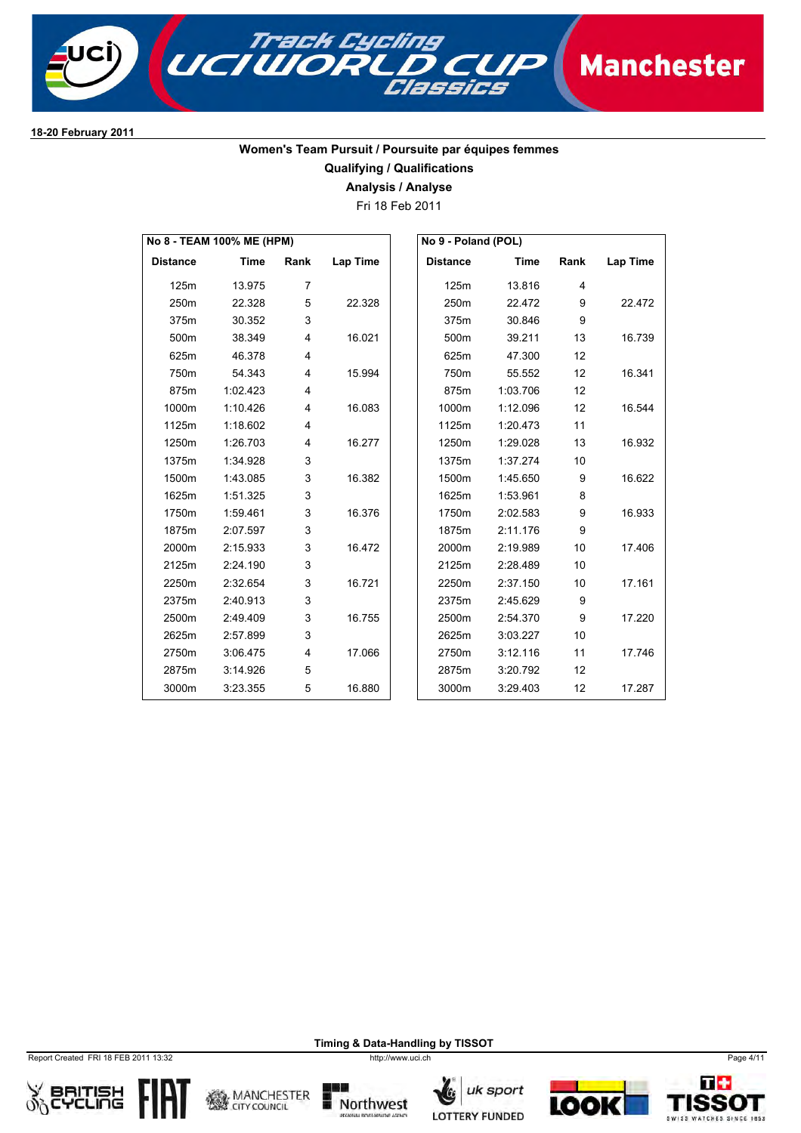

### **Women's Team Pursuit / Poursuite par équipes femmes Qualifying / Qualifications**

**Analysis / Analyse**

Fri 18 Feb 2011

| No 8 - TEAM 100% ME (HPM) |             |                |          | No 9 - Poland (POL) |          |                 |          |
|---------------------------|-------------|----------------|----------|---------------------|----------|-----------------|----------|
| <b>Distance</b>           | <b>Time</b> | Rank           | Lap Time | <b>Distance</b>     | Time     | Rank            | Lap Time |
| 125m                      | 13.975      | $\overline{7}$ |          | 125m                | 13.816   | $\overline{4}$  |          |
| 250m                      | 22.328      | 5              | 22.328   | 250m                | 22.472   | 9               | 22.472   |
| 375m                      | 30.352      | 3              |          | 375m                | 30.846   | 9               |          |
| 500m                      | 38.349      | $\overline{4}$ | 16.021   | 500m                | 39.211   | 13              | 16.739   |
| 625m                      | 46.378      | $\overline{4}$ |          | 625m                | 47.300   | 12              |          |
| 750m                      | 54.343      | 4              | 15.994   | 750m                | 55.552   | 12              | 16.341   |
| 875m                      | 1:02.423    | $\overline{4}$ |          | 875m                | 1:03.706 | 12              |          |
| 1000m                     | 1:10.426    | $\overline{4}$ | 16.083   | 1000m               | 1:12.096 | 12              | 16.544   |
| 1125m                     | 1:18.602    | $\overline{4}$ |          | 1125m               | 1:20.473 | 11              |          |
| 1250m                     | 1:26.703    | 4              | 16.277   | 1250m               | 1:29.028 | 13              | 16.932   |
| 1375m                     | 1:34.928    | 3              |          | 1375m               | 1:37.274 | 10 <sup>1</sup> |          |
| 1500m                     | 1:43.085    | 3              | 16.382   | 1500m               | 1:45.650 | 9               | 16.622   |
| 1625m                     | 1:51.325    | 3              |          | 1625m               | 1:53.961 | 8               |          |
| 1750m                     | 1:59.461    | 3              | 16.376   | 1750m               | 2:02.583 | 9               | 16.933   |
| 1875m                     | 2:07.597    | 3              |          | 1875m               | 2:11.176 | 9               |          |
| 2000m                     | 2:15.933    | 3              | 16.472   | 2000m               | 2:19.989 | 10 <sup>1</sup> | 17.406   |
| 2125m                     | 2:24.190    | 3              |          | 2125m               | 2:28.489 | 10              |          |
| 2250m                     | 2:32.654    | 3              | 16.721   | 2250m               | 2:37.150 | 10              | 17.161   |
| 2375m                     | 2:40.913    | 3              |          | 2375m               | 2:45.629 | 9               |          |
| 2500m                     | 2:49.409    | 3              | 16.755   | 2500m               | 2:54.370 | 9               | 17.220   |
| 2625m                     | 2:57.899    | 3              |          | 2625m               | 3:03.227 | 10              |          |
| 2750m                     | 3:06.475    | 4              | 17.066   | 2750m               | 3:12.116 | 11              | 17.746   |
| 2875m                     | 3:14.926    | 5              |          | 2875m               | 3:20.792 | 12              |          |
| 3000m                     | 3:23.355    | 5              | 16.880   | 3000m               | 3:29.403 | 12              | 17.287   |

Report Created FRI 18 FEB 2011 13:32 http://www.uci.ch Page 4/11













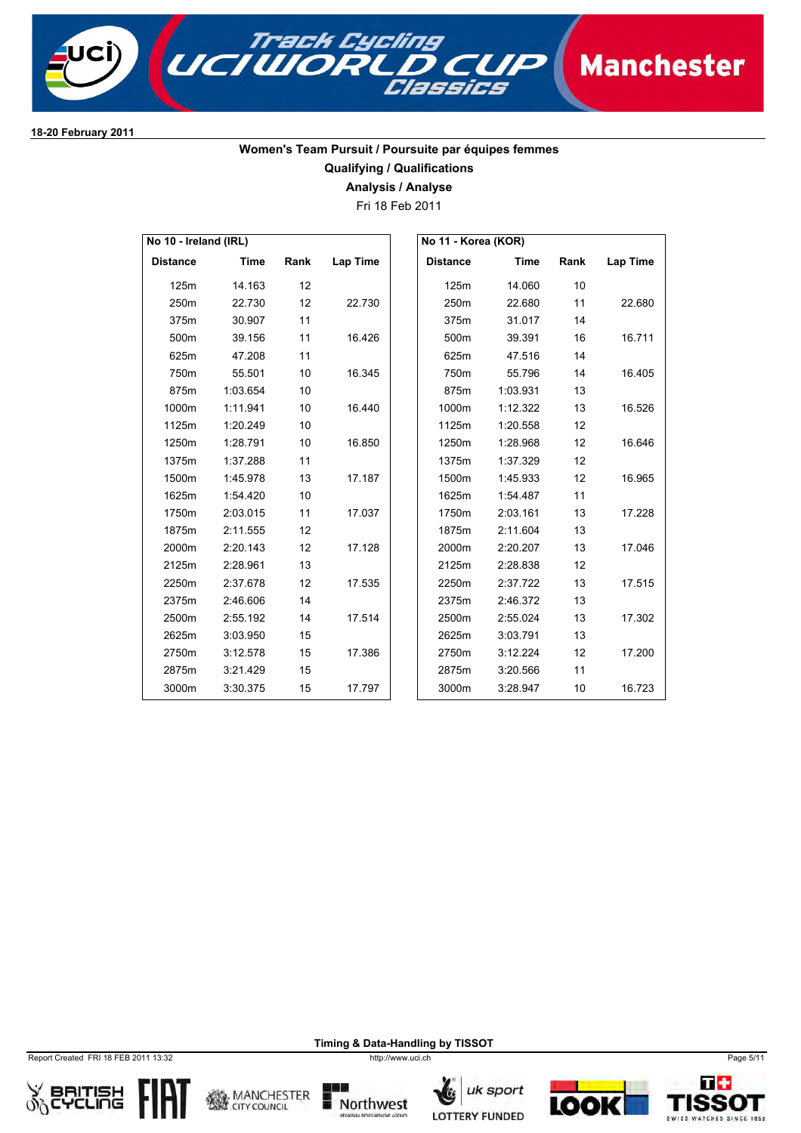

### **Women's Team Pursuit / Poursuite par équipes femmes Qualifying / Qualifications**

**Analysis / Analyse**

Fri 18 Feb 2011

| No 10 - Ireland (IRL) |             |      |                 |                 | No 11 - Korea (KOR) |      |          |
|-----------------------|-------------|------|-----------------|-----------------|---------------------|------|----------|
| <b>Distance</b>       | <b>Time</b> | Rank | <b>Lap Time</b> | <b>Distance</b> | Time                | Rank | Lap Time |
| 125m                  | 14.163      | 12   |                 | 125m            | 14.060              | 10   |          |
| 250m                  | 22.730      | 12   | 22.730          | 250m            | 22.680              | 11   | 22.680   |
| 375m                  | 30.907      | 11   |                 | 375m            | 31.017              | 14   |          |
| 500m                  | 39.156      | 11   | 16.426          | 500m            | 39.391              | 16   | 16.711   |
| 625m                  | 47.208      | 11   |                 | 625m            | 47.516              | 14   |          |
| 750m                  | 55.501      | 10   | 16.345          | 750m            | 55.796              | 14   | 16.405   |
| 875m                  | 1:03.654    | 10   |                 | 875m            | 1:03.931            | 13   |          |
| 1000m                 | 1:11.941    | 10   | 16.440          | 1000m           | 1:12.322            | 13   | 16.526   |
| 1125m                 | 1:20.249    | 10   |                 | 1125m           | 1:20.558            | 12   |          |
| 1250m                 | 1:28.791    | 10   | 16.850          | 1250m           | 1:28.968            | 12   | 16.646   |
| 1375m                 | 1:37.288    | 11   |                 | 1375m           | 1:37.329            | 12   |          |
| 1500m                 | 1:45.978    | 13   | 17.187          | 1500m           | 1:45.933            | 12   | 16.965   |
| 1625m                 | 1:54.420    | 10   |                 | 1625m           | 1:54.487            | 11   |          |
| 1750m                 | 2:03.015    | 11   | 17.037          | 1750m           | 2:03.161            | 13   | 17.228   |
| 1875m                 | 2:11.555    | 12   |                 | 1875m           | 2:11.604            | 13   |          |
| 2000m                 | 2:20.143    | 12   | 17.128          | 2000m           | 2:20.207            | 13   | 17.046   |
| 2125m                 | 2:28.961    | 13   |                 | 2125m           | 2:28.838            | 12   |          |
| 2250m                 | 2:37.678    | 12   | 17.535          | 2250m           | 2:37.722            | 13   | 17.515   |
| 2375m                 | 2:46.606    | 14   |                 | 2375m           | 2:46.372            | 13   |          |
| 2500m                 | 2:55.192    | 14   | 17.514          | 2500m           | 2:55.024            | 13   | 17.302   |
| 2625m                 | 3:03.950    | 15   |                 | 2625m           | 3:03.791            | 13   |          |
| 2750m                 | 3:12.578    | 15   | 17.386          | 2750m           | 3:12.224            | 12   | 17.200   |
| 2875m                 | 3:21.429    | 15   |                 | 2875m           | 3:20.566            | 11   |          |
| 3000m                 | 3:30.375    | 15   | 17.797          | 3000m           | 3:28.947            | 10   | 16.723   |

Report Created FRI 18 FEB 2011 13:32 http://www.uci.ch Page 5/11













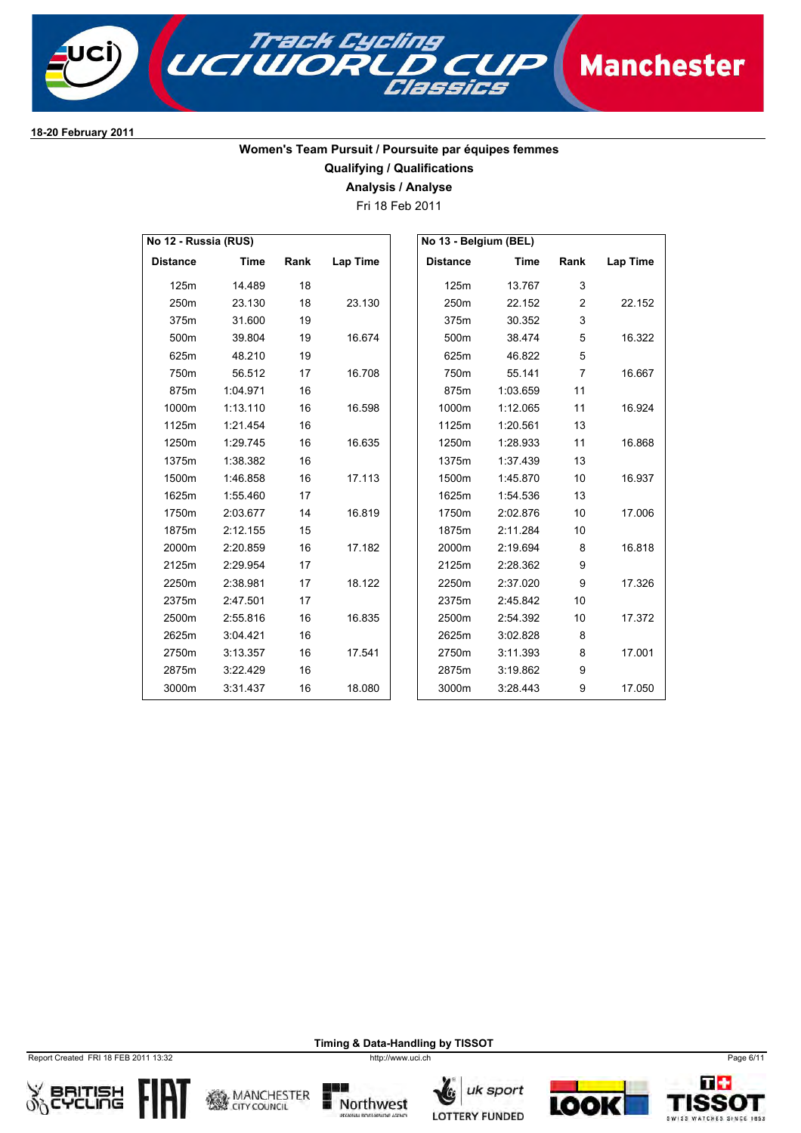

# **Women's Team Pursuit / Poursuite par équipes femmes**

**Qualifying / Qualifications**

**Analysis / Analyse**

Fri 18 Feb 2011

| No 12 - Russia (RUS) |             |      |          | No 13 - Belgium (BEL) |             |                |          |
|----------------------|-------------|------|----------|-----------------------|-------------|----------------|----------|
| <b>Distance</b>      | <b>Time</b> | Rank | Lap Time | <b>Distance</b>       | <b>Time</b> | Rank           | Lap Time |
| 125m                 | 14.489      | 18   |          | 125m                  | 13.767      | 3              |          |
| 250m                 | 23.130      | 18   | 23.130   | 250m                  | 22.152      | $\overline{2}$ | 22.152   |
| 375m                 | 31.600      | 19   |          | 375m                  | 30.352      | 3              |          |
| 500m                 | 39.804      | 19   | 16.674   | 500m                  | 38.474      | 5              | 16.322   |
| 625m                 | 48.210      | 19   |          | 625m                  | 46.822      | 5              |          |
| 750m                 | 56.512      | 17   | 16.708   | 750m                  | 55.141      | $\overline{7}$ | 16.667   |
| 875m                 | 1:04.971    | 16   |          | 875m                  | 1:03.659    | 11             |          |
| 1000m                | 1:13.110    | 16   | 16.598   | 1000m                 | 1:12.065    | 11             | 16.924   |
| 1125m                | 1:21.454    | 16   |          | 1125m                 | 1:20.561    | 13             |          |
| 1250m                | 1:29.745    | 16   | 16.635   | 1250m                 | 1:28.933    | 11             | 16.868   |
| 1375m                | 1:38.382    | 16   |          | 1375m                 | 1:37.439    | 13             |          |
| 1500m                | 1:46.858    | 16   | 17.113   | 1500m                 | 1:45.870    | 10             | 16.937   |
| 1625m                | 1:55.460    | 17   |          | 1625m                 | 1:54.536    | 13             |          |
| 1750m                | 2:03.677    | 14   | 16.819   | 1750m                 | 2:02.876    | 10             | 17.006   |
| 1875m                | 2:12.155    | 15   |          | 1875m                 | 2:11.284    | 10             |          |
| 2000m                | 2:20.859    | 16   | 17.182   | 2000m                 | 2:19.694    | 8              | 16.818   |
| 2125m                | 2:29.954    | 17   |          | 2125m                 | 2:28.362    | 9              |          |
| 2250m                | 2:38.981    | 17   | 18.122   | 2250m                 | 2:37.020    | 9              | 17.326   |
| 2375m                | 2:47.501    | 17   |          | 2375m                 | 2:45.842    | 10             |          |
| 2500m                | 2:55.816    | 16   | 16.835   | 2500m                 | 2:54.392    | 10             | 17.372   |
| 2625m                | 3:04.421    | 16   |          | 2625m                 | 3:02.828    | 8              |          |
| 2750m                | 3:13.357    | 16   | 17.541   | 2750m                 | 3:11.393    | 8              | 17.001   |
| 2875m                | 3:22.429    | 16   |          | 2875m                 | 3:19.862    | 9              |          |
| 3000m                | 3:31.437    | 16   | 18.080   | 3000m                 | 3:28.443    | 9              | 17.050   |

Report Created FRI 18 FEB 2011 13:32 http://www.uci.ch Page 6/11













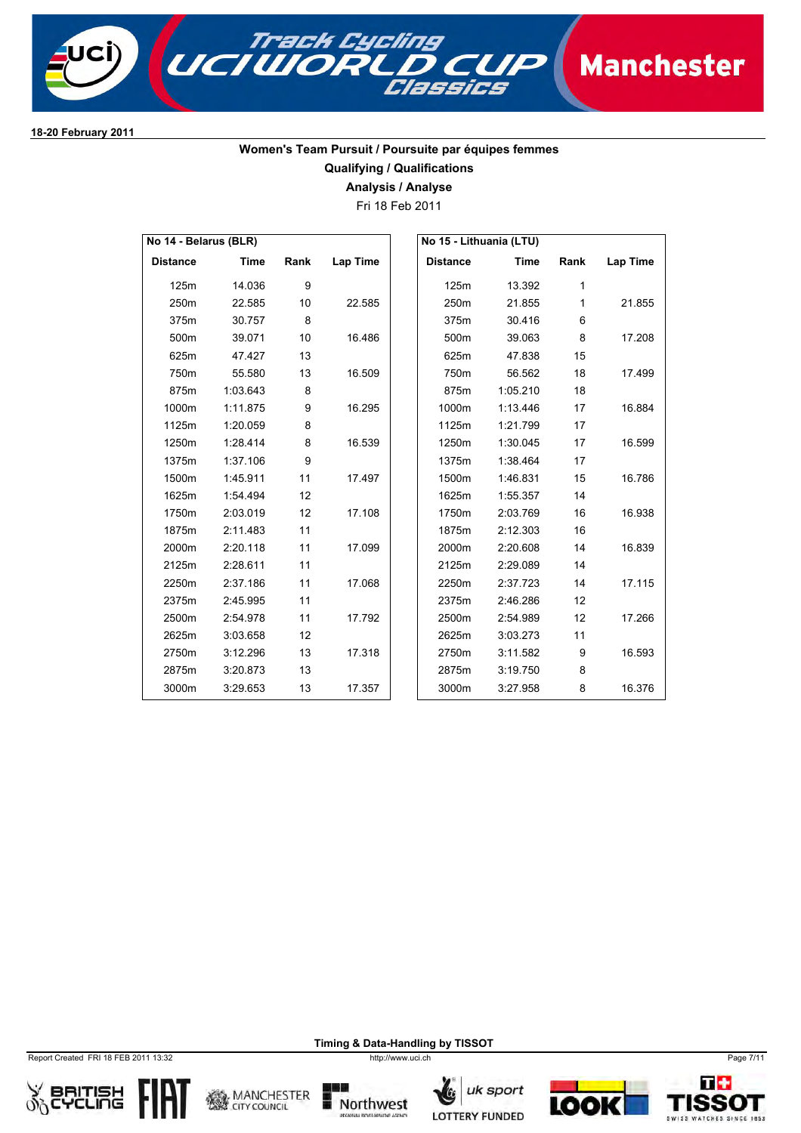

## **Women's Team Pursuit / Poursuite par équipes femmes**

**Qualifying / Qualifications**

**Analysis / Analyse**

Fri 18 Feb 2011

| No 14 - Belarus (BLR) |             |      |          |                 | No 15 - Lithuania (LTU) |              |          |
|-----------------------|-------------|------|----------|-----------------|-------------------------|--------------|----------|
| <b>Distance</b>       | <b>Time</b> | Rank | Lap Time | <b>Distance</b> | <b>Time</b>             | Rank         | Lap Time |
| 125m                  | 14.036      | 9    |          | 125m            | 13.392                  | 1            |          |
| 250m                  | 22.585      | 10   | 22.585   | 250m            | 21.855                  | $\mathbf{1}$ | 21.855   |
| 375m                  | 30.757      | 8    |          | 375m            | 30.416                  | 6            |          |
| 500m                  | 39.071      | 10   | 16.486   | 500m            | 39.063                  | 8            | 17.208   |
| 625m                  | 47.427      | 13   |          | 625m            | 47.838                  | 15           |          |
| 750m                  | 55.580      | 13   | 16.509   | 750m            | 56.562                  | 18           | 17.499   |
| 875m                  | 1:03.643    | 8    |          | 875m            | 1:05.210                | 18           |          |
| 1000m                 | 1:11.875    | 9    | 16.295   | 1000m           | 1:13.446                | 17           | 16.884   |
| 1125m                 | 1:20.059    | 8    |          | 1125m           | 1:21.799                | 17           |          |
| 1250m                 | 1:28.414    | 8    | 16.539   | 1250m           | 1:30.045                | 17           | 16.599   |
| 1375m                 | 1:37.106    | 9    |          | 1375m           | 1:38.464                | 17           |          |
| 1500m                 | 1:45.911    | 11   | 17.497   | 1500m           | 1:46.831                | 15           | 16.786   |
| 1625m                 | 1:54.494    | 12   |          | 1625m           | 1:55.357                | 14           |          |
| 1750m                 | 2:03.019    | 12   | 17.108   | 1750m           | 2:03.769                | 16           | 16.938   |
| 1875m                 | 2:11.483    | 11   |          | 1875m           | 2:12.303                | 16           |          |
| 2000m                 | 2:20.118    | 11   | 17.099   | 2000m           | 2:20.608                | 14           | 16.839   |
| 2125m                 | 2:28.611    | 11   |          | 2125m           | 2:29.089                | 14           |          |
| 2250m                 | 2:37.186    | 11   | 17.068   | 2250m           | 2:37.723                | 14           | 17.115   |
| 2375m                 | 2:45.995    | 11   |          | 2375m           | 2:46.286                | 12           |          |
| 2500m                 | 2:54.978    | 11   | 17.792   | 2500m           | 2:54.989                | 12           | 17.266   |
| 2625m                 | 3:03.658    | 12   |          | 2625m           | 3:03.273                | 11           |          |
| 2750m                 | 3:12.296    | 13   | 17.318   | 2750m           | 3:11.582                | 9            | 16.593   |
| 2875m                 | 3:20.873    | 13   |          | 2875m           | 3:19.750                | 8            |          |
| 3000m                 | 3:29.653    | 13   | 17.357   | 3000m           | 3:27.958                | 8            | 16.376   |

Report Created FRI 18 FEB 2011 13:32 http://www.uci.ch Page 7/11













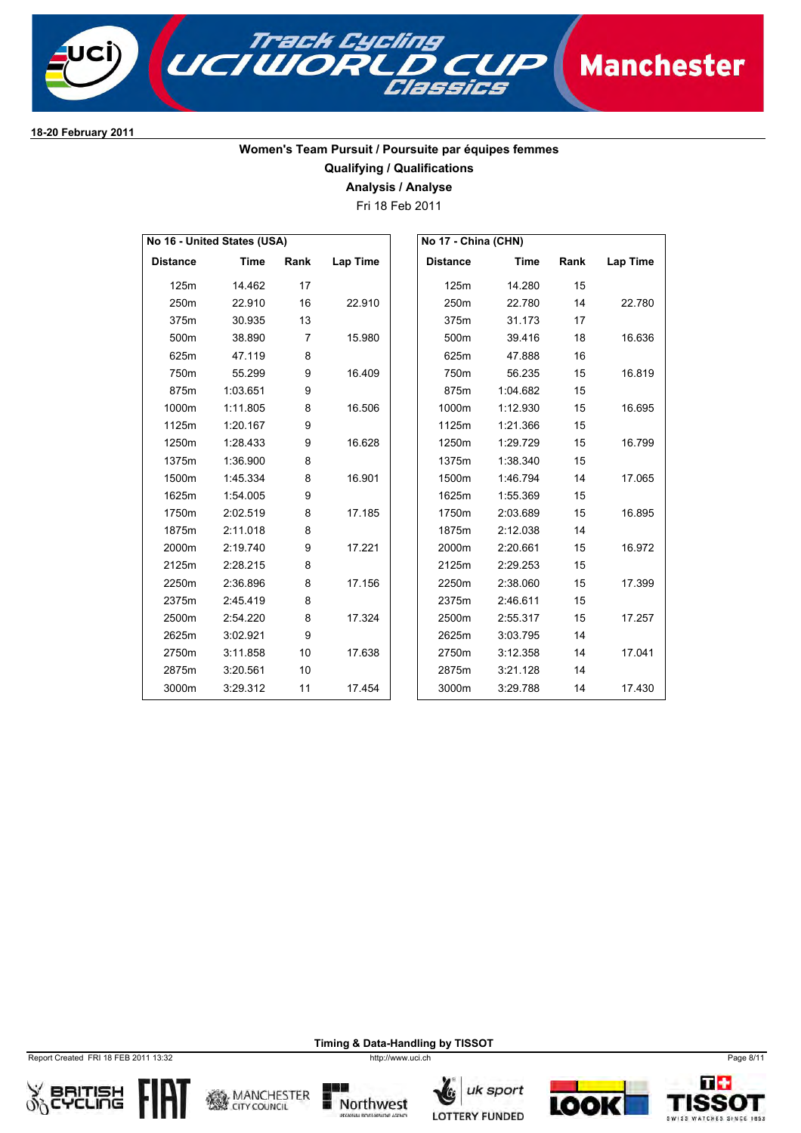

### **Women's Team Pursuit / Poursuite par équipes femmes Qualifying / Qualifications**

**Analysis / Analyse**

Fri 18 Feb 2011

|                 | No 16 - United States (USA) |                |          | No 17 - China (CHN) |          |      |          |
|-----------------|-----------------------------|----------------|----------|---------------------|----------|------|----------|
| <b>Distance</b> | <b>Time</b>                 | Rank           | Lap Time | <b>Distance</b>     | Time     | Rank | Lap Time |
| 125m            | 14.462                      | 17             |          | 125m                | 14.280   | 15   |          |
| 250m            | 22.910                      | 16             | 22.910   | 250m                | 22.780   | 14   | 22.780   |
| 375m            | 30.935                      | 13             |          | 375m                | 31.173   | 17   |          |
| 500m            | 38.890                      | $\overline{7}$ | 15.980   | 500m                | 39.416   | 18   | 16.636   |
| 625m            | 47.119                      | 8              |          | 625m                | 47.888   | 16   |          |
| 750m            | 55.299                      | 9              | 16.409   | 750m                | 56.235   | 15   | 16.819   |
| 875m            | 1:03.651                    | 9              |          | 875m                | 1:04.682 | 15   |          |
| 1000m           | 1:11.805                    | 8              | 16.506   | 1000m               | 1:12.930 | 15   | 16.695   |
| 1125m           | 1:20.167                    | 9              |          | 1125m               | 1:21.366 | 15   |          |
| 1250m           | 1:28.433                    | 9              | 16.628   | 1250m               | 1:29.729 | 15   | 16.799   |
| 1375m           | 1:36.900                    | 8              |          | 1375m               | 1:38.340 | 15   |          |
| 1500m           | 1:45.334                    | 8              | 16.901   | 1500m               | 1:46.794 | 14   | 17.065   |
| 1625m           | 1:54.005                    | 9              |          | 1625m               | 1:55.369 | 15   |          |
| 1750m           | 2:02.519                    | 8              | 17.185   | 1750m               | 2:03.689 | 15   | 16.895   |
| 1875m           | 2:11.018                    | 8              |          | 1875m               | 2:12.038 | 14   |          |
| 2000m           | 2:19.740                    | 9              | 17.221   | 2000m               | 2:20.661 | 15   | 16.972   |
| 2125m           | 2:28.215                    | 8              |          | 2125m               | 2:29.253 | 15   |          |
| 2250m           | 2:36.896                    | 8              | 17.156   | 2250m               | 2:38.060 | 15   | 17.399   |
| 2375m           | 2:45.419                    | 8              |          | 2375m               | 2:46.611 | 15   |          |
| 2500m           | 2:54.220                    | 8              | 17.324   | 2500m               | 2:55.317 | 15   | 17.257   |
| 2625m           | 3:02.921                    | 9              |          | 2625m               | 3:03.795 | 14   |          |
| 2750m           | 3:11.858                    | 10             | 17.638   | 2750m               | 3:12.358 | 14   | 17.041   |
| 2875m           | 3:20.561                    | 10             |          | 2875m               | 3:21.128 | 14   |          |
| 3000m           | 3:29.312                    | 11             | 17.454   | 3000m               | 3:29.788 | 14   | 17.430   |

Report Created FRI 18 FEB 2011 13:32 http://www.uci.ch Page 8/11













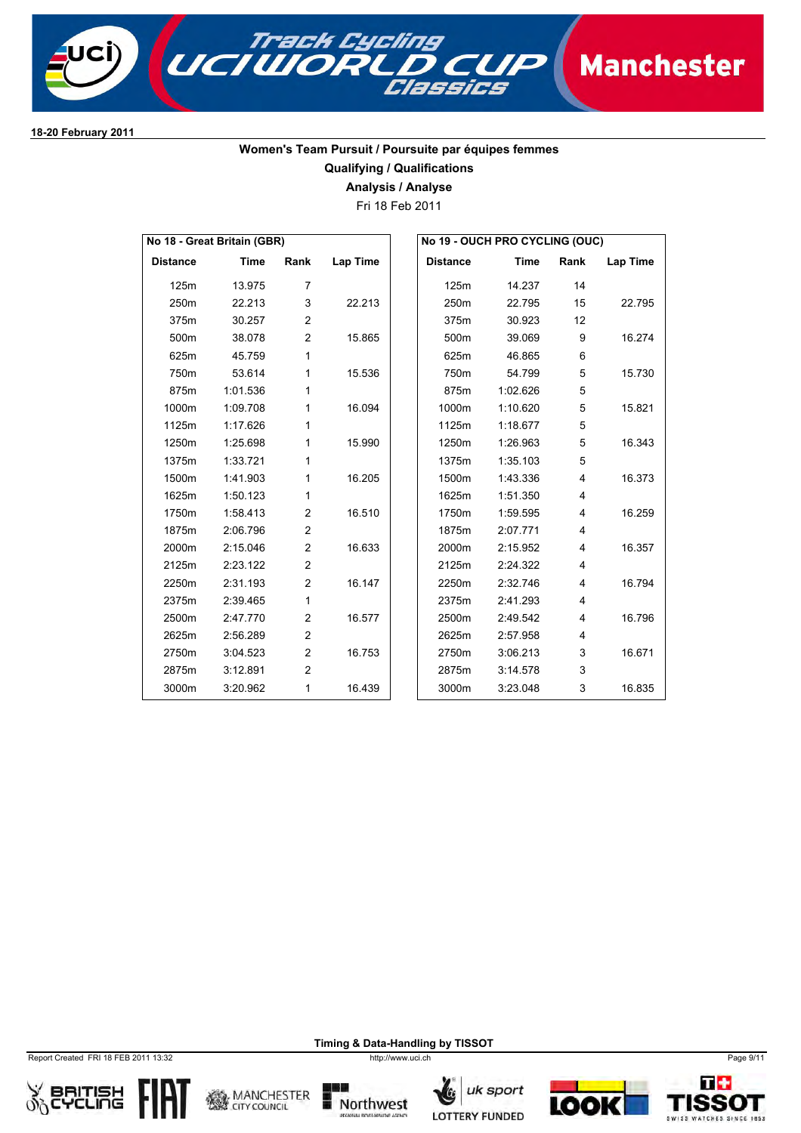

### **Women's Team Pursuit / Poursuite par équipes femmes Qualifying / Qualifications**

**Analysis / Analyse**

Fri 18 Feb 2011

| No 18 - Great Britain (GBR) |             |                |          |  | No 19 - OUCH PRO CYCLING (OUC) |             |                |          |  |
|-----------------------------|-------------|----------------|----------|--|--------------------------------|-------------|----------------|----------|--|
| <b>Distance</b>             | <b>Time</b> | Rank           | Lap Time |  | <b>Distance</b>                | <b>Time</b> | Rank           | Lap Time |  |
| 125m                        | 13.975      | $\overline{7}$ |          |  | 125m                           | 14.237      | 14             |          |  |
| 250m                        | 22.213      | 3              | 22.213   |  | 250m                           | 22.795      | 15             | 22.795   |  |
| 375m                        | 30.257      | $\overline{2}$ |          |  | 375m                           | 30.923      | 12             |          |  |
| 500m                        | 38.078      | $\overline{c}$ | 15.865   |  | 500m                           | 39.069      | 9              | 16.274   |  |
| 625m                        | 45.759      | 1              |          |  | 625m                           | 46.865      | 6              |          |  |
| 750m                        | 53.614      | 1              | 15.536   |  | 750m                           | 54.799      | 5              | 15.730   |  |
| 875m                        | 1:01.536    | 1              |          |  | 875m                           | 1:02.626    | 5              |          |  |
| 1000m                       | 1:09.708    | 1              | 16.094   |  | 1000m                          | 1:10.620    | 5              | 15.821   |  |
| 1125m                       | 1:17.626    | 1              |          |  | 1125m                          | 1:18.677    | 5              |          |  |
| 1250m                       | 1:25.698    | 1              | 15.990   |  | 1250m                          | 1:26.963    | 5              | 16.343   |  |
| 1375m                       | 1:33.721    | 1              |          |  | 1375m                          | 1:35.103    | 5              |          |  |
| 1500m                       | 1:41.903    | 1              | 16.205   |  | 1500m                          | 1:43.336    | 4              | 16.373   |  |
| 1625m                       | 1:50.123    | 1              |          |  | 1625m                          | 1:51.350    | 4              |          |  |
| 1750m                       | 1:58.413    | $\overline{2}$ | 16.510   |  | 1750m                          | 1:59.595    | 4              | 16.259   |  |
| 1875m                       | 2:06.796    | $\overline{2}$ |          |  | 1875m                          | 2:07.771    | 4              |          |  |
| 2000m                       | 2:15.046    | $\overline{c}$ | 16.633   |  | 2000m                          | 2:15.952    | 4              | 16.357   |  |
| 2125m                       | 2:23.122    | $\overline{c}$ |          |  | 2125m                          | 2:24.322    | 4              |          |  |
| 2250m                       | 2:31.193    | $\overline{2}$ | 16.147   |  | 2250m                          | 2:32.746    | $\overline{4}$ | 16.794   |  |
| 2375m                       | 2:39.465    | 1              |          |  | 2375m                          | 2:41.293    | 4              |          |  |
| 2500m                       | 2:47.770    | $\overline{c}$ | 16.577   |  | 2500m                          | 2:49.542    | 4              | 16.796   |  |
| 2625m                       | 2:56.289    | $\overline{c}$ |          |  | 2625m                          | 2:57.958    | 4              |          |  |
| 2750m                       | 3:04.523    | $\overline{2}$ | 16.753   |  | 2750m                          | 3:06.213    | 3              | 16.671   |  |
| 2875m                       | 3:12.891    | $\overline{2}$ |          |  | 2875m                          | 3:14.578    | 3              |          |  |
| 3000m                       | 3:20.962    | 1              | 16.439   |  | 3000m                          | 3:23.048    | 3              | 16.835   |  |

Report Created FRI 18 FEB 2011 13:32 http://www.uci.ch Page 9/11













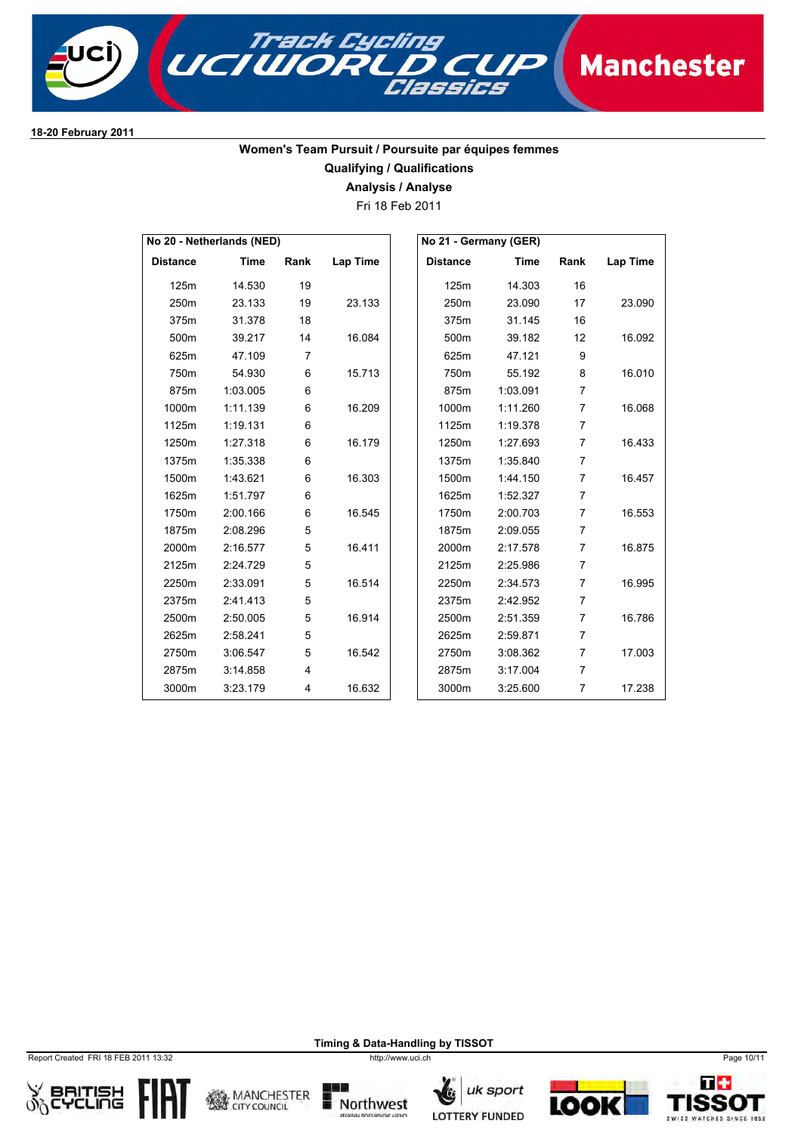

### **Women's Team Pursuit / Poursuite par équipes femmes Qualifying / Qualifications**

**Analysis / Analyse**

Fri 18 Feb 2011

|                 | No 20 - Netherlands (NED) |      |                 | No 21 - Germany (GER) |             |                |          |
|-----------------|---------------------------|------|-----------------|-----------------------|-------------|----------------|----------|
| <b>Distance</b> | <b>Time</b>               | Rank | <b>Lap Time</b> | <b>Distance</b>       | <b>Time</b> | Rank           | Lap Time |
| 125m            | 14.530                    | 19   |                 | 125m                  | 14.303      | 16             |          |
| 250m            | 23.133                    | 19   | 23.133          | 250m                  | 23.090      | 17             | 23.090   |
| 375m            | 31.378                    | 18   |                 | 375m                  | 31.145      | 16             |          |
| 500m            | 39.217                    | 14   | 16.084          | 500m                  | 39.182      | 12             | 16.092   |
| 625m            | 47.109                    | 7    |                 | 625m                  | 47.121      | 9              |          |
| 750m            | 54.930                    | 6    | 15.713          | 750m                  | 55.192      | 8              | 16.010   |
| 875m            | 1:03.005                  | 6    |                 | 875m                  | 1:03.091    | $\overline{7}$ |          |
| 1000m           | 1:11.139                  | 6    | 16.209          | 1000m                 | 1:11.260    | $\overline{7}$ | 16.068   |
| 1125m           | 1:19.131                  | 6    |                 | 1125m                 | 1:19.378    | $\overline{7}$ |          |
| 1250m           | 1:27.318                  | 6    | 16.179          | 1250m                 | 1:27.693    | $\overline{7}$ | 16.433   |
| 1375m           | 1:35.338                  | 6    |                 | 1375m                 | 1:35.840    | $\overline{7}$ |          |
| 1500m           | 1:43.621                  | 6    | 16.303          | 1500m                 | 1:44.150    | $\overline{7}$ | 16.457   |
| 1625m           | 1:51.797                  | 6    |                 | 1625m                 | 1:52.327    | $\overline{7}$ |          |
| 1750m           | 2:00.166                  | 6    | 16.545          | 1750m                 | 2:00.703    | $\overline{7}$ | 16.553   |
| 1875m           | 2:08.296                  | 5    |                 | 1875m                 | 2:09.055    | $\overline{7}$ |          |
| 2000m           | 2:16.577                  | 5    | 16.411          | 2000m                 | 2:17.578    | $\overline{7}$ | 16.875   |
| 2125m           | 2:24.729                  | 5    |                 | 2125m                 | 2:25.986    | $\overline{7}$ |          |
| 2250m           | 2:33.091                  | 5    | 16.514          | 2250m                 | 2:34.573    | $\overline{7}$ | 16.995   |
| 2375m           | 2:41.413                  | 5    |                 | 2375m                 | 2:42.952    | $\overline{7}$ |          |
| 2500m           | 2:50.005                  | 5    | 16.914          | 2500m                 | 2:51.359    | $\overline{7}$ | 16.786   |
| 2625m           | 2:58.241                  | 5    |                 | 2625m                 | 2:59.871    | $\overline{7}$ |          |
| 2750m           | 3:06.547                  | 5    | 16.542          | 2750m                 | 3:08.362    | $\overline{7}$ | 17.003   |
| 2875m           | 3:14.858                  | 4    |                 | 2875m                 | 3:17.004    | $\overline{7}$ |          |
| 3000m           | 3:23.179                  | 4    | 16.632          | 3000m                 | 3:25.600    | $\overline{7}$ | 17.238   |

Report Created FRI 18 FEB 2011 13:32 http://www.uci.ch Page 10/11